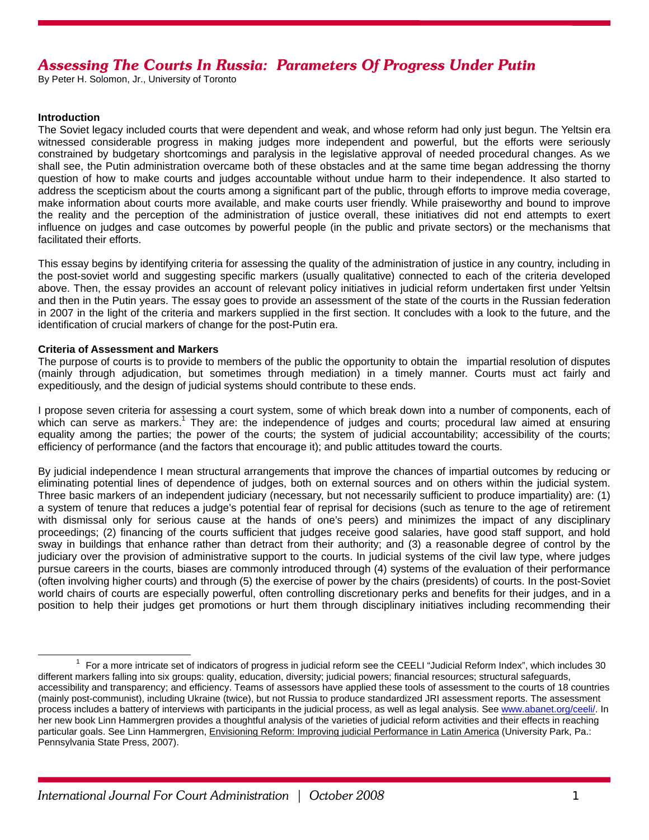# *Assessing The Courts In Russia: Parameters Of Progress Under Putin*

By Peter H. Solomon, Jr., University of Toronto

#### **Introduction**

The Soviet legacy included courts that were dependent and weak, and whose reform had only just begun. The Yeltsin era witnessed considerable progress in making judges more independent and powerful, but the efforts were seriously constrained by budgetary shortcomings and paralysis in the legislative approval of needed procedural changes. As we shall see, the Putin administration overcame both of these obstacles and at the same time began addressing the thorny question of how to make courts and judges accountable without undue harm to their independence. It also started to address the scepticism about the courts among a significant part of the public, through efforts to improve media coverage, make information about courts more available, and make courts user friendly. While praiseworthy and bound to improve the reality and the perception of the administration of justice overall, these initiatives did not end attempts to exert influence on judges and case outcomes by powerful people (in the public and private sectors) or the mechanisms that facilitated their efforts.

This essay begins by identifying criteria for assessing the quality of the administration of justice in any country, including in the post-soviet world and suggesting specific markers (usually qualitative) connected to each of the criteria developed above. Then, the essay provides an account of relevant policy initiatives in judicial reform undertaken first under Yeltsin and then in the Putin years. The essay goes to provide an assessment of the state of the courts in the Russian federation in 2007 in the light of the criteria and markers supplied in the first section. It concludes with a look to the future, and the identification of crucial markers of change for the post-Putin era.

## **Criteria of Assessment and Markers**

The purpose of courts is to provide to members of the public the opportunity to obtain the impartial resolution of disputes (mainly through adjudication, but sometimes through mediation) in a timely manner. Courts must act fairly and expeditiously, and the design of judicial systems should contribute to these ends.

I propose seven criteria for assessing a court system, some of which break down into a number of components, each of which can serve as markers.<sup>1</sup> They are: the independence of judges and courts; procedural law aimed at ensuring equality among the parties; the power of the courts; the system of judicial accountability; accessibility of the courts; efficiency of performance (and the factors that encourage it); and public attitudes toward the courts.

By judicial independence I mean structural arrangements that improve the chances of impartial outcomes by reducing or eliminating potential lines of dependence of judges, both on external sources and on others within the judicial system. Three basic markers of an independent judiciary (necessary, but not necessarily sufficient to produce impartiality) are: (1) a system of tenure that reduces a judge's potential fear of reprisal for decisions (such as tenure to the age of retirement with dismissal only for serious cause at the hands of one's peers) and minimizes the impact of any disciplinary proceedings; (2) financing of the courts sufficient that judges receive good salaries, have good staff support, and hold sway in buildings that enhance rather than detract from their authority; and (3) a reasonable degree of control by the judiciary over the provision of administrative support to the courts. In judicial systems of the civil law type, where judges pursue careers in the courts, biases are commonly introduced through (4) systems of the evaluation of their performance (often involving higher courts) and through (5) the exercise of power by the chairs (presidents) of courts. In the post-Soviet world chairs of courts are especially powerful, often controlling discretionary perks and benefits for their judges, and in a position to help their judges get promotions or hurt them through disciplinary initiatives including recommending their

 $\overline{\phantom{a}}$  $1$  For a more intricate set of indicators of progress in judicial reform see the CEELI "Judicial Reform Index", which includes 30 different markers falling into six groups: quality, education, diversity; judicial powers; financial resources; structural safeguards, accessibility and transparency; and efficiency. Teams of assessors have applied these tools of assessment to the courts of 18 countries (mainly post-communist), including Ukraine (twice), but not Russia to produce standardized JRI assessment reports. The assessment process includes a battery of interviews with participants in the judicial process, as well as legal analysis. See www.abanet.org/ceeli/. In her new book Linn Hammergren provides a thoughtful analysis of the varieties of judicial reform activities and their effects in reaching particular goals. See Linn Hammergren, Envisioning Reform: Improving judicial Performance in Latin America (University Park, Pa.: Pennsylvania State Press, 2007).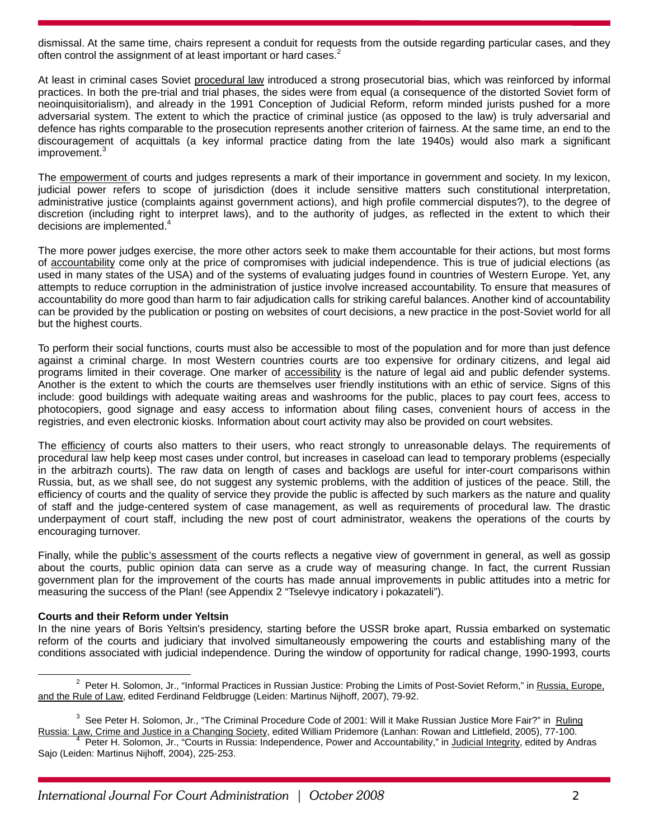dismissal. At the same time, chairs represent a conduit for requests from the outside regarding particular cases, and they often control the assignment of at least important or hard cases.<sup>2</sup>

At least in criminal cases Soviet procedural law introduced a strong prosecutorial bias, which was reinforced by informal practices. In both the pre-trial and trial phases, the sides were from equal (a consequence of the distorted Soviet form of neoinquisitorialism), and already in the 1991 Conception of Judicial Reform, reform minded jurists pushed for a more adversarial system. The extent to which the practice of criminal justice (as opposed to the law) is truly adversarial and defence has rights comparable to the prosecution represents another criterion of fairness. At the same time, an end to the discouragement of acquittals (a key informal practice dating from the late 1940s) would also mark a significant improvement.<sup>3</sup>

The empowerment of courts and judges represents a mark of their importance in government and society. In my lexicon, judicial power refers to scope of jurisdiction (does it include sensitive matters such constitutional interpretation, administrative justice (complaints against government actions), and high profile commercial disputes?), to the degree of discretion (including right to interpret laws), and to the authority of judges, as reflected in the extent to which their decisions are implemented.<sup>4</sup>

The more power judges exercise, the more other actors seek to make them accountable for their actions, but most forms of accountability come only at the price of compromises with judicial independence. This is true of judicial elections (as used in many states of the USA) and of the systems of evaluating judges found in countries of Western Europe. Yet, any attempts to reduce corruption in the administration of justice involve increased accountability. To ensure that measures of accountability do more good than harm to fair adjudication calls for striking careful balances. Another kind of accountability can be provided by the publication or posting on websites of court decisions, a new practice in the post-Soviet world for all but the highest courts.

To perform their social functions, courts must also be accessible to most of the population and for more than just defence against a criminal charge. In most Western countries courts are too expensive for ordinary citizens, and legal aid programs limited in their coverage. One marker of accessibility is the nature of legal aid and public defender systems. Another is the extent to which the courts are themselves user friendly institutions with an ethic of service. Signs of this include: good buildings with adequate waiting areas and washrooms for the public, places to pay court fees, access to photocopiers, good signage and easy access to information about filing cases, convenient hours of access in the registries, and even electronic kiosks. Information about court activity may also be provided on court websites.

The efficiency of courts also matters to their users, who react strongly to unreasonable delays. The requirements of procedural law help keep most cases under control, but increases in caseload can lead to temporary problems (especially in the arbitrazh courts). The raw data on length of cases and backlogs are useful for inter-court comparisons within Russia, but, as we shall see, do not suggest any systemic problems, with the addition of justices of the peace. Still, the efficiency of courts and the quality of service they provide the public is affected by such markers as the nature and quality of staff and the judge-centered system of case management, as well as requirements of procedural law. The drastic underpayment of court staff, including the new post of court administrator, weakens the operations of the courts by encouraging turnover.

Finally, while the public's assessment of the courts reflects a negative view of government in general, as well as gossip about the courts, public opinion data can serve as a crude way of measuring change. In fact, the current Russian government plan for the improvement of the courts has made annual improvements in public attitudes into a metric for measuring the success of the Plan! (see Appendix 2 "Tselevye indicatory i pokazateli").

#### **Courts and their Reform under Yeltsin**

In the nine years of Boris Yeltsin's presidency, starting before the USSR broke apart, Russia embarked on systematic reform of the courts and judiciary that involved simultaneously empowering the courts and establishing many of the conditions associated with judicial independence. During the window of opportunity for radical change, 1990-1993, courts

 $\overline{\phantom{a}}$ <sup>2</sup> Peter H. Solomon, Jr., "Informal Practices in Russian Justice: Probing the Limits of Post-Soviet Reform," in Russia, Europe, and the Rule of Law, edited Ferdinand Feldbrugge (Leiden: Martinus Nijhoff, 2007), 79-92.

<sup>&</sup>lt;sup>3</sup> See Peter H. Solomon, Jr., "The Criminal Procedure Code of 2001: Will it Make Russian Justice More Fair?" in Ruling Russia: Law, Crime and Justice in a Changing Society, edited William Pridemore (Lanhan: Rowan and Littlefield, 2005), 77-100. 4

Peter H. Solomon, Jr., "Courts in Russia: Independence, Power and Accountability," in Judicial Integrity, edited by Andras Sajo (Leiden: Martinus Nijhoff, 2004), 225-253.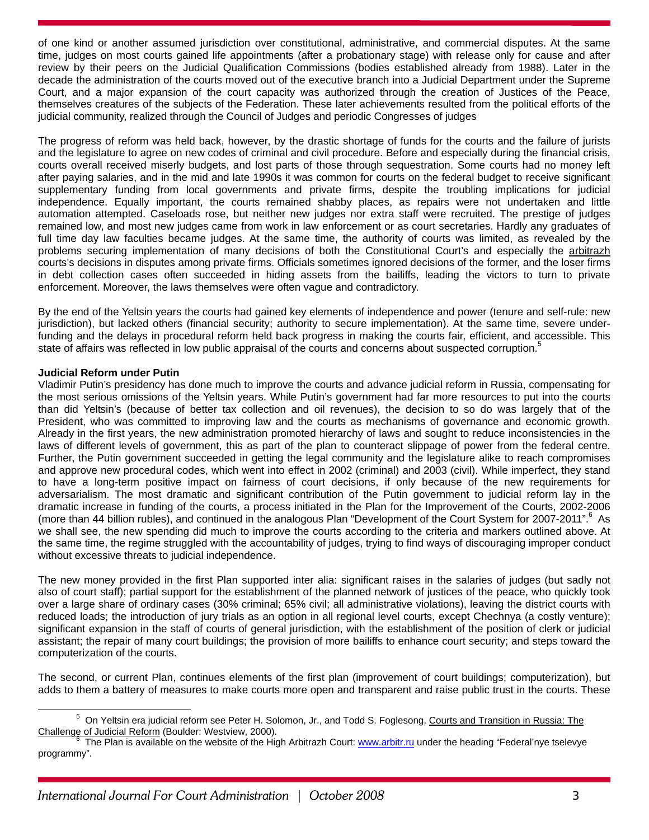of one kind or another assumed jurisdiction over constitutional, administrative, and commercial disputes. At the same time, judges on most courts gained life appointments (after a probationary stage) with release only for cause and after review by their peers on the Judicial Qualification Commissions (bodies established already from 1988). Later in the decade the administration of the courts moved out of the executive branch into a Judicial Department under the Supreme Court, and a major expansion of the court capacity was authorized through the creation of Justices of the Peace, themselves creatures of the subjects of the Federation. These later achievements resulted from the political efforts of the judicial community, realized through the Council of Judges and periodic Congresses of judges

The progress of reform was held back, however, by the drastic shortage of funds for the courts and the failure of jurists and the legislature to agree on new codes of criminal and civil procedure. Before and especially during the financial crisis, courts overall received miserly budgets, and lost parts of those through sequestration. Some courts had no money left after paying salaries, and in the mid and late 1990s it was common for courts on the federal budget to receive significant supplementary funding from local governments and private firms, despite the troubling implications for judicial independence. Equally important, the courts remained shabby places, as repairs were not undertaken and little automation attempted. Caseloads rose, but neither new judges nor extra staff were recruited. The prestige of judges remained low, and most new judges came from work in law enforcement or as court secretaries. Hardly any graduates of full time day law faculties became judges. At the same time, the authority of courts was limited, as revealed by the problems securing implementation of many decisions of both the Constitutional Court's and especially the arbitrazh courts's decisions in disputes among private firms. Officials sometimes ignored decisions of the former, and the loser firms in debt collection cases often succeeded in hiding assets from the bailiffs, leading the victors to turn to private enforcement. Moreover, the laws themselves were often vague and contradictory.

By the end of the Yeltsin years the courts had gained key elements of independence and power (tenure and self-rule: new jurisdiction), but lacked others (financial security; authority to secure implementation). At the same time, severe underfunding and the delays in procedural reform held back progress in making the courts fair, efficient, and accessible. This state of affairs was reflected in low public appraisal of the courts and concerns about suspected corruption.<sup>5</sup>

# **Judicial Reform under Putin**

Vladimir Putin's presidency has done much to improve the courts and advance judicial reform in Russia, compensating for the most serious omissions of the Yeltsin years. While Putin's government had far more resources to put into the courts than did Yeltsin's (because of better tax collection and oil revenues), the decision to so do was largely that of the President, who was committed to improving law and the courts as mechanisms of governance and economic growth. Already in the first years, the new administration promoted hierarchy of laws and sought to reduce inconsistencies in the laws of different levels of government, this as part of the plan to counteract slippage of power from the federal centre. Further, the Putin government succeeded in getting the legal community and the legislature alike to reach compromises and approve new procedural codes, which went into effect in 2002 (criminal) and 2003 (civil). While imperfect, they stand to have a long-term positive impact on fairness of court decisions, if only because of the new requirements for adversarialism. The most dramatic and significant contribution of the Putin government to judicial reform lay in the dramatic increase in funding of the courts, a process initiated in the Plan for the Improvement of the Courts, 2002-2006 (more than 44 billion rubles), and continued in the analogous Plan "Development of the Court System for 2007-2011".<sup>6</sup> As we shall see, the new spending did much to improve the courts according to the criteria and markers outlined above. At the same time, the regime struggled with the accountability of judges, trying to find ways of discouraging improper conduct without excessive threats to judicial independence.

The new money provided in the first Plan supported inter alia: significant raises in the salaries of judges (but sadly not also of court staff); partial support for the establishment of the planned network of justices of the peace, who quickly took over a large share of ordinary cases (30% criminal; 65% civil; all administrative violations), leaving the district courts with reduced loads; the introduction of jury trials as an option in all regional level courts, except Chechnya (a costly venture); significant expansion in the staff of courts of general jurisdiction, with the establishment of the position of clerk or judicial assistant; the repair of many court buildings; the provision of more bailiffs to enhance court security; and steps toward the computerization of the courts.

The second, or current Plan, continues elements of the first plan (improvement of court buildings; computerization), but adds to them a battery of measures to make courts more open and transparent and raise public trust in the courts. These

<sup>5</sup>  $5$  On Yeltsin era judicial reform see Peter H. Solomon, Jr., and Todd S. Foglesong, Courts and Transition in Russia: The Challenge of Judicial Reform (Boulder: Westview, 2000).

 $^6$  The Plan is available on the website of the High Arbitrazh Court: www.arbitr.ru under the heading "Federal'nye tselevye programmy".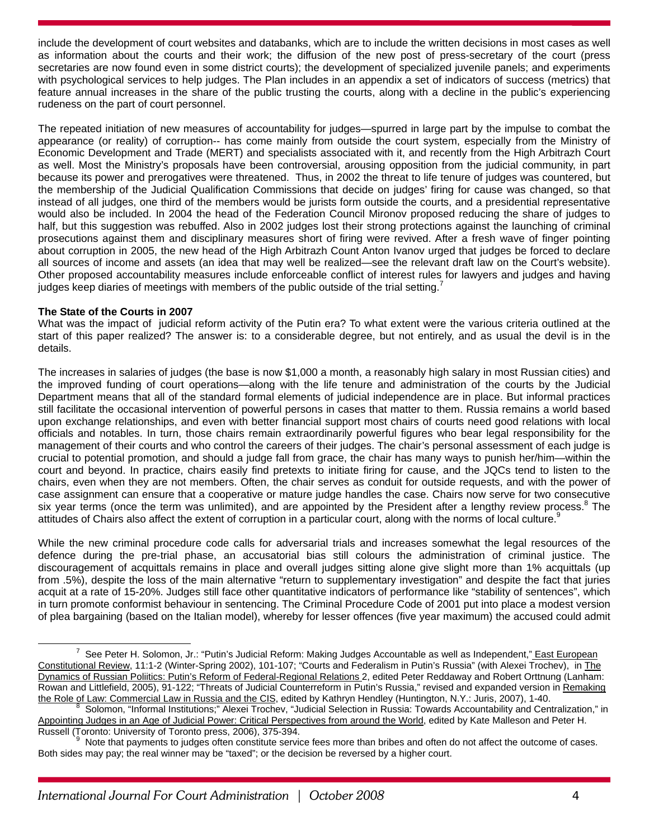include the development of court websites and databanks, which are to include the written decisions in most cases as well as information about the courts and their work; the diffusion of the new post of press-secretary of the court (press secretaries are now found even in some district courts); the development of specialized juvenile panels; and experiments with psychological services to help judges. The Plan includes in an appendix a set of indicators of success (metrics) that feature annual increases in the share of the public trusting the courts, along with a decline in the public's experiencing rudeness on the part of court personnel.

The repeated initiation of new measures of accountability for judges—spurred in large part by the impulse to combat the appearance (or reality) of corruption-- has come mainly from outside the court system, especially from the Ministry of Economic Development and Trade (MERT) and specialists associated with it, and recently from the High Arbitrazh Court as well. Most the Ministry's proposals have been controversial, arousing opposition from the judicial community, in part because its power and prerogatives were threatened. Thus, in 2002 the threat to life tenure of judges was countered, but the membership of the Judicial Qualification Commissions that decide on judges' firing for cause was changed, so that instead of all judges, one third of the members would be jurists form outside the courts, and a presidential representative would also be included. In 2004 the head of the Federation Council Mironov proposed reducing the share of judges to half, but this suggestion was rebuffed. Also in 2002 judges lost their strong protections against the launching of criminal prosecutions against them and disciplinary measures short of firing were revived. After a fresh wave of finger pointing about corruption in 2005, the new head of the High Arbitrazh Count Anton Ivanov urged that judges be forced to declare all sources of income and assets (an idea that may well be realized—see the relevant draft law on the Court's website). Other proposed accountability measures include enforceable conflict of interest rules for lawyers and judges and having judges keep diaries of meetings with members of the public outside of the trial setting.<sup>7</sup>

## **The State of the Courts in 2007**

What was the impact of judicial reform activity of the Putin era? To what extent were the various criteria outlined at the start of this paper realized? The answer is: to a considerable degree, but not entirely, and as usual the devil is in the details.

The increases in salaries of judges (the base is now \$1,000 a month, a reasonably high salary in most Russian cities) and the improved funding of court operations—along with the life tenure and administration of the courts by the Judicial Department means that all of the standard formal elements of judicial independence are in place. But informal practices still facilitate the occasional intervention of powerful persons in cases that matter to them. Russia remains a world based upon exchange relationships, and even with better financial support most chairs of courts need good relations with local officials and notables. In turn, those chairs remain extraordinarily powerful figures who bear legal responsibility for the management of their courts and who control the careers of their judges. The chair's personal assessment of each judge is crucial to potential promotion, and should a judge fall from grace, the chair has many ways to punish her/him—within the court and beyond. In practice, chairs easily find pretexts to initiate firing for cause, and the JQCs tend to listen to the chairs, even when they are not members. Often, the chair serves as conduit for outside requests, and with the power of case assignment can ensure that a cooperative or mature judge handles the case. Chairs now serve for two consecutive six year terms (once the term was unlimited), and are appointed by the President after a lengthy review process.<sup>8</sup> The attitudes of Chairs also affect the extent of corruption in a particular court, along with the norms of local culture.<sup>9</sup>

While the new criminal procedure code calls for adversarial trials and increases somewhat the legal resources of the defence during the pre-trial phase, an accusatorial bias still colours the administration of criminal justice. The discouragement of acquittals remains in place and overall judges sitting alone give slight more than 1% acquittals (up from .5%), despite the loss of the main alternative "return to supplementary investigation" and despite the fact that juries acquit at a rate of 15-20%. Judges still face other quantitative indicators of performance like "stability of sentences", which in turn promote conformist behaviour in sentencing. The Criminal Procedure Code of 2001 put into place a modest version of plea bargaining (based on the Italian model), whereby for lesser offences (five year maximum) the accused could admit

<sup>7</sup> <sup>7</sup> See Peter H. Solomon, Jr.: "Putin's Judicial Reform: Making Judges Accountable as well as Independent," East European Constitutional Review, 11:1-2 (Winter-Spring 2002), 101-107; "Courts and Federalism in Putin's Russia" (with Alexei Trochev), in The Dynamics of Russian Poliitics: Putin's Reform of Federal-Regional Relations 2, edited Peter Reddaway and Robert Orttnung (Lanham: Rowan and Littlefield, 2005), 91-122; "Threats of Judicial Counterreform in Putin's Russia," revised and expanded version in Remaking the Role of Law: Commercial Law in Russia and the CIS, edited by Kathryn Hendley (Huntington, N.Y.: Juris, 2007), 1-40.

Solomon, "Informal Institutions;" Alexei Trochev, "Judicial Selection in Russia: Towards Accountability and Centralization," in Appointing Judges in an Age of Judicial Power: Critical Perspectives from around the World, edited by Kate Malleson and Peter H. Russell (Toronto: University of Toronto press, 2006), 375-394.

Note that payments to judges often constitute service fees more than bribes and often do not affect the outcome of cases. Both sides may pay; the real winner may be "taxed"; or the decision be reversed by a higher court.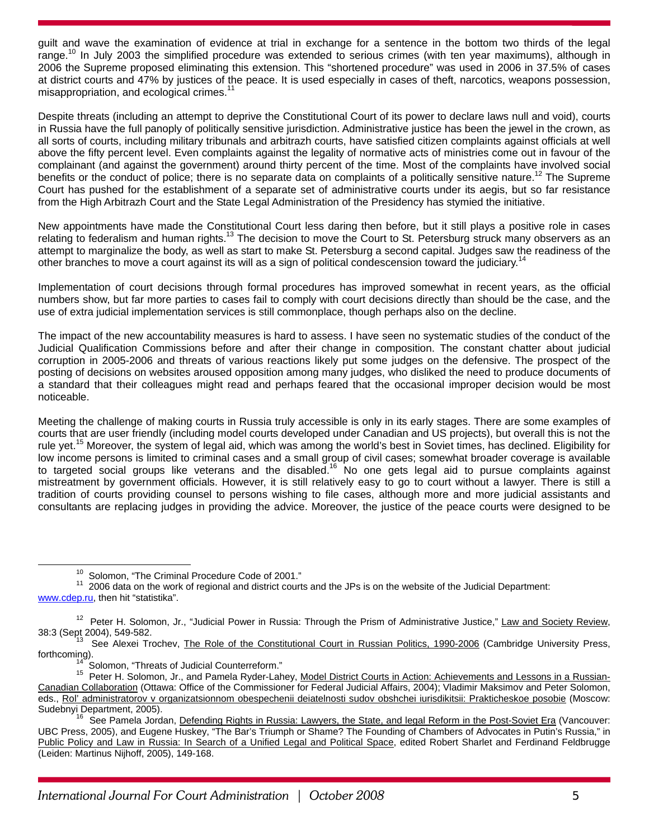guilt and wave the examination of evidence at trial in exchange for a sentence in the bottom two thirds of the legal range.10 In July 2003 the simplified procedure was extended to serious crimes (with ten year maximums), although in 2006 the Supreme proposed eliminating this extension. This "shortened procedure" was used in 2006 in 37.5% of cases at district courts and 47% by justices of the peace. It is used especially in cases of theft, narcotics, weapons possession, misappropriation, and ecological crimes.<sup>11</sup>

Despite threats (including an attempt to deprive the Constitutional Court of its power to declare laws null and void), courts in Russia have the full panoply of politically sensitive jurisdiction. Administrative justice has been the jewel in the crown, as all sorts of courts, including military tribunals and arbitrazh courts, have satisfied citizen complaints against officials at well above the fifty percent level. Even complaints against the legality of normative acts of ministries come out in favour of the complainant (and against the government) around thirty percent of the time. Most of the complaints have involved social benefits or the conduct of police; there is no separate data on complaints of a politically sensitive nature.<sup>12</sup> The Supreme Court has pushed for the establishment of a separate set of administrative courts under its aegis, but so far resistance from the High Arbitrazh Court and the State Legal Administration of the Presidency has stymied the initiative.

New appointments have made the Constitutional Court less daring then before, but it still plays a positive role in cases relating to federalism and human rights.<sup>13</sup> The decision to move the Court to St. Petersburg struck many observers as an attempt to marginalize the body, as well as start to make St. Petersburg a second capital. Judges saw the readiness of the other branches to move a court against its will as a sign of political condescension toward the judiciary.<sup>14</sup>

Implementation of court decisions through formal procedures has improved somewhat in recent years, as the official numbers show, but far more parties to cases fail to comply with court decisions directly than should be the case, and the use of extra judicial implementation services is still commonplace, though perhaps also on the decline.

The impact of the new accountability measures is hard to assess. I have seen no systematic studies of the conduct of the Judicial Qualification Commissions before and after their change in composition. The constant chatter about judicial corruption in 2005-2006 and threats of various reactions likely put some judges on the defensive. The prospect of the posting of decisions on websites aroused opposition among many judges, who disliked the need to produce documents of a standard that their colleagues might read and perhaps feared that the occasional improper decision would be most noticeable.

Meeting the challenge of making courts in Russia truly accessible is only in its early stages. There are some examples of courts that are user friendly (including model courts developed under Canadian and US projects), but overall this is not the rule yet.<sup>15</sup> Moreover, the system of legal aid, which was among the world's best in Soviet times, has declined. Eligibility for low income persons is limited to criminal cases and a small group of civil cases; somewhat broader coverage is available to targeted social groups like veterans and the disabled.16 No one gets legal aid to pursue complaints against mistreatment by government officials. However, it is still relatively easy to go to court without a lawyer. There is still a tradition of courts providing counsel to persons wishing to file cases, although more and more judicial assistants and consultants are replacing judges in providing the advice. Moreover, the justice of the peace courts were designed to be

<sup>&</sup>lt;sup>10</sup> Solomon, "The Criminal Procedure Code of 2001."<br><sup>11</sup> 2006 data on the work of regional and district courts and the JPs is on the website of the Judicial Department: www.cdep.ru, then hit "statistika".

<sup>&</sup>lt;sup>12</sup> Peter H. Solomon, Jr., "Judicial Power in Russia: Through the Prism of Administrative Justice," Law and Society Review,<br>38:3 (Sept 2004), 549-582.

See Alexei Trochev, The Role of the Constitutional Court in Russian Politics, 1990-2006 (Cambridge University Press,

forthcoming).<br><sup>14</sup> Solomon, "Threats of Judicial Counterreform."<br><sup>15</sup> Peter H. Solomon, Jr., and Pamela Ryder-Lahey, <u>Model District Courts in Action: Achievements and Lessons in a Russian-</u> Canadian Collaboration (Ottawa: Office of the Commissioner for Federal Judicial Affairs, 2004); Vladimir Maksimov and Peter Solomon, eds., Rol' administratorov v organizatsionnom obespechenii deiatelnosti sudov obshchei iurisdikitsii: Prakticheskoe posobie (Moscow: Sudebnyi Department, 2005).<br><sup>16</sup> See Pamela Jordan, <u>Defending Rights in Russia: Lawyers, the State, and legal Reform in the Post-Soviet Era</u> (Vancouver:

UBC Press, 2005), and Eugene Huskey, "The Bar's Triumph or Shame? The Founding of Chambers of Advocates in Putin's Russia," in Public Policy and Law in Russia: In Search of a Unified Legal and Political Space, edited Robert Sharlet and Ferdinand Feldbrugge (Leiden: Martinus Nijhoff, 2005), 149-168.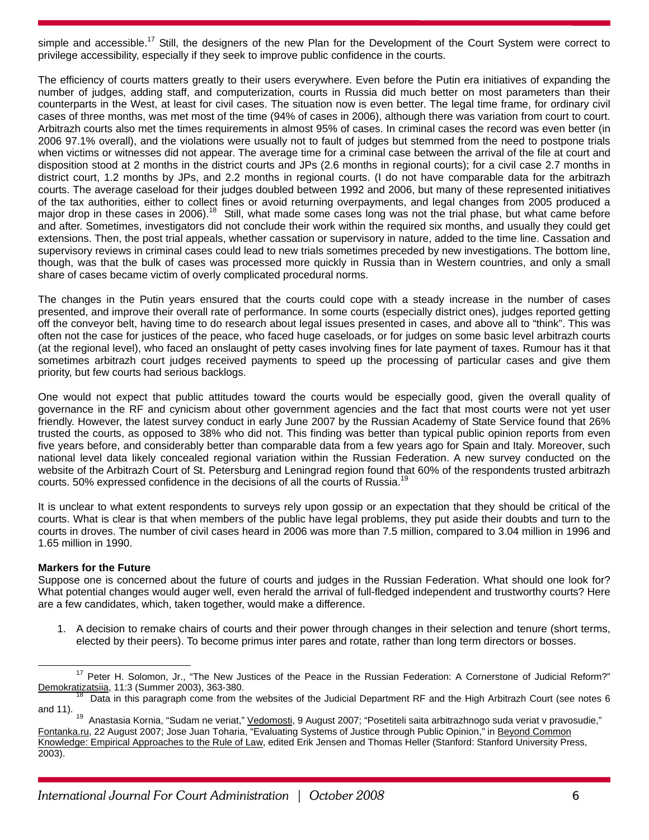simple and accessible.<sup>17</sup> Still, the designers of the new Plan for the Development of the Court System were correct to privilege accessibility, especially if they seek to improve public confidence in the courts.

The efficiency of courts matters greatly to their users everywhere. Even before the Putin era initiatives of expanding the number of judges, adding staff, and computerization, courts in Russia did much better on most parameters than their counterparts in the West, at least for civil cases. The situation now is even better. The legal time frame, for ordinary civil cases of three months, was met most of the time (94% of cases in 2006), although there was variation from court to court. Arbitrazh courts also met the times requirements in almost 95% of cases. In criminal cases the record was even better (in 2006 97.1% overall), and the violations were usually not to fault of judges but stemmed from the need to postpone trials when victims or witnesses did not appear. The average time for a criminal case between the arrival of the file at court and disposition stood at 2 months in the district courts and JPs (2.6 months in regional courts); for a civil case 2.7 months in district court, 1.2 months by JPs, and 2.2 months in regional courts. (I do not have comparable data for the arbitrazh courts. The average caseload for their judges doubled between 1992 and 2006, but many of these represented initiatives of the tax authorities, either to collect fines or avoid returning overpayments, and legal changes from 2005 produced a major drop in these cases in 2006).<sup>18</sup> Still, what made some cases long was not the trial phase, but what came before and after. Sometimes, investigators did not conclude their work within the required six months, and usually they could get extensions. Then, the post trial appeals, whether cassation or supervisory in nature, added to the time line. Cassation and supervisory reviews in criminal cases could lead to new trials sometimes preceded by new investigations. The bottom line, though, was that the bulk of cases was processed more quickly in Russia than in Western countries, and only a small share of cases became victim of overly complicated procedural norms.

The changes in the Putin years ensured that the courts could cope with a steady increase in the number of cases presented, and improve their overall rate of performance. In some courts (especially district ones), judges reported getting off the conveyor belt, having time to do research about legal issues presented in cases, and above all to "think". This was often not the case for justices of the peace, who faced huge caseloads, or for judges on some basic level arbitrazh courts (at the regional level), who faced an onslaught of petty cases involving fines for late payment of taxes. Rumour has it that sometimes arbitrazh court judges received payments to speed up the processing of particular cases and give them priority, but few courts had serious backlogs.

One would not expect that public attitudes toward the courts would be especially good, given the overall quality of governance in the RF and cynicism about other government agencies and the fact that most courts were not yet user friendly. However, the latest survey conduct in early June 2007 by the Russian Academy of State Service found that 26% trusted the courts, as opposed to 38% who did not. This finding was better than typical public opinion reports from even five years before, and considerably better than comparable data from a few years ago for Spain and Italy. Moreover, such national level data likely concealed regional variation within the Russian Federation. A new survey conducted on the website of the Arbitrazh Court of St. Petersburg and Leningrad region found that 60% of the respondents trusted arbitrazh courts. 50% expressed confidence in the decisions of all the courts of Russia.<sup>1</sup>

It is unclear to what extent respondents to surveys rely upon gossip or an expectation that they should be critical of the courts. What is clear is that when members of the public have legal problems, they put aside their doubts and turn to the courts in droves. The number of civil cases heard in 2006 was more than 7.5 million, compared to 3.04 million in 1996 and 1.65 million in 1990.

# **Markers for the Future**

Suppose one is concerned about the future of courts and judges in the Russian Federation. What should one look for? What potential changes would auger well, even herald the arrival of full-fledged independent and trustworthy courts? Here are a few candidates, which, taken together, would make a difference.

1. A decision to remake chairs of courts and their power through changes in their selection and tenure (short terms, elected by their peers). To become primus inter pares and rotate, rather than long term directors or bosses.

<sup>&</sup>lt;sup>17</sup> Peter H. Solomon, Jr., "The New Justices of the Peace in the Russian Federation: A Cornerstone of Judicial Reform?"<br>Demokratizatsiia, 11:3 (Summer 2003), 363-380.

 $\frac{18}{13}$  Data in this paragraph come from the websites of the Judicial Department RF and the High Arbitrazh Court (see notes 6 and 11).

<sup>&</sup>lt;sup>19</sup> Anastasia Kornia, "Sudam ne veriat," Vedomosti, 9 August 2007; "Posetiteli saita arbitrazhnogo suda veriat v pravosudie," Fontanka.ru, 22 August 2007; Jose Juan Toharia, "Evaluating Systems of Justice through Public Opinion," in Beyond Common Knowledge: Empirical Approaches to the Rule of Law, edited Erik Jensen and Thomas Heller (Stanford: Stanford University Press, 2003).